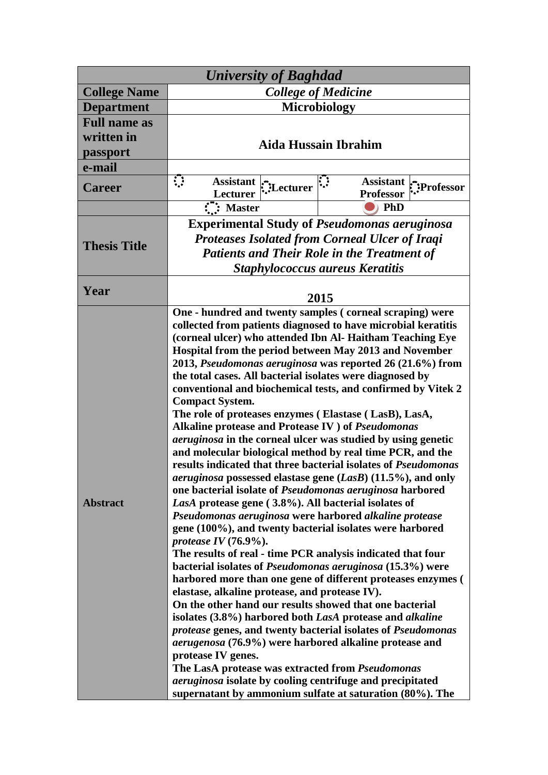| <b>University of Baghdad</b>                            |                                                                                                                                                                                                                                                                                                                                                                                                                                                                                                                                                                                                                                                                                                                                                                                                                                                                                                                                                                                                                                                                                                                                                                                                                                                                                                                                                                                                                                                                                                                                                                                                                                                                                                                                                                                                                                                                |  |
|---------------------------------------------------------|----------------------------------------------------------------------------------------------------------------------------------------------------------------------------------------------------------------------------------------------------------------------------------------------------------------------------------------------------------------------------------------------------------------------------------------------------------------------------------------------------------------------------------------------------------------------------------------------------------------------------------------------------------------------------------------------------------------------------------------------------------------------------------------------------------------------------------------------------------------------------------------------------------------------------------------------------------------------------------------------------------------------------------------------------------------------------------------------------------------------------------------------------------------------------------------------------------------------------------------------------------------------------------------------------------------------------------------------------------------------------------------------------------------------------------------------------------------------------------------------------------------------------------------------------------------------------------------------------------------------------------------------------------------------------------------------------------------------------------------------------------------------------------------------------------------------------------------------------------------|--|
| <b>College Name</b>                                     | <b>College of Medicine</b>                                                                                                                                                                                                                                                                                                                                                                                                                                                                                                                                                                                                                                                                                                                                                                                                                                                                                                                                                                                                                                                                                                                                                                                                                                                                                                                                                                                                                                                                                                                                                                                                                                                                                                                                                                                                                                     |  |
| <b>Department</b>                                       | <b>Microbiology</b>                                                                                                                                                                                                                                                                                                                                                                                                                                                                                                                                                                                                                                                                                                                                                                                                                                                                                                                                                                                                                                                                                                                                                                                                                                                                                                                                                                                                                                                                                                                                                                                                                                                                                                                                                                                                                                            |  |
| <b>Full name as</b><br>written in<br>passport<br>e-mail | <b>Aida Hussain Ibrahim</b>                                                                                                                                                                                                                                                                                                                                                                                                                                                                                                                                                                                                                                                                                                                                                                                                                                                                                                                                                                                                                                                                                                                                                                                                                                                                                                                                                                                                                                                                                                                                                                                                                                                                                                                                                                                                                                    |  |
|                                                         | $\ddot{\phantom{a}}$                                                                                                                                                                                                                                                                                                                                                                                                                                                                                                                                                                                                                                                                                                                                                                                                                                                                                                                                                                                                                                                                                                                                                                                                                                                                                                                                                                                                                                                                                                                                                                                                                                                                                                                                                                                                                                           |  |
| <b>Career</b>                                           | <b>Assistant</b><br><b>Assistant</b><br>Lecturer<br>Professor:"<br><b>Professor</b><br><b>Lecturer</b>                                                                                                                                                                                                                                                                                                                                                                                                                                                                                                                                                                                                                                                                                                                                                                                                                                                                                                                                                                                                                                                                                                                                                                                                                                                                                                                                                                                                                                                                                                                                                                                                                                                                                                                                                         |  |
|                                                         | $\overline{\mathbf{C}}$ : Master<br><b>PhD</b>                                                                                                                                                                                                                                                                                                                                                                                                                                                                                                                                                                                                                                                                                                                                                                                                                                                                                                                                                                                                                                                                                                                                                                                                                                                                                                                                                                                                                                                                                                                                                                                                                                                                                                                                                                                                                 |  |
| <b>Thesis Title</b>                                     | <b>Experimental Study of Pseudomonas aeruginosa</b><br><b>Proteases Isolated from Corneal Ulcer of Iraqi</b><br><b>Patients and Their Role in the Treatment of</b><br><b>Staphylococcus aureus Keratitis</b>                                                                                                                                                                                                                                                                                                                                                                                                                                                                                                                                                                                                                                                                                                                                                                                                                                                                                                                                                                                                                                                                                                                                                                                                                                                                                                                                                                                                                                                                                                                                                                                                                                                   |  |
| Year                                                    | 2015                                                                                                                                                                                                                                                                                                                                                                                                                                                                                                                                                                                                                                                                                                                                                                                                                                                                                                                                                                                                                                                                                                                                                                                                                                                                                                                                                                                                                                                                                                                                                                                                                                                                                                                                                                                                                                                           |  |
| <b>Abstract</b>                                         | One - hundred and twenty samples (corneal scraping) were<br>collected from patients diagnosed to have microbial keratitis<br>(corneal ulcer) who attended Ibn Al- Haitham Teaching Eye<br>Hospital from the period between May 2013 and November<br>2013, Pseudomonas aeruginosa was reported 26 (21.6%) from<br>the total cases. All bacterial isolates were diagnosed by<br>conventional and biochemical tests, and confirmed by Vitek 2<br><b>Compact System.</b><br>The role of proteases enzymes (Elastase (LasB), LasA,<br>Alkaline protease and Protease IV ) of Pseudomonas<br><i>aeruginosa</i> in the corneal ulcer was studied by using genetic<br>and molecular biological method by real time PCR, and the<br>results indicated that three bacterial isolates of Pseudomonas<br><i>aeruginosa</i> possessed elastase gene $(LasB)$ (11.5%), and only<br>one bacterial isolate of <i>Pseudomonas aeruginosa</i> harbored<br>LasA protease gene (3.8%). All bacterial isolates of<br>Pseudomonas aeruginosa were harbored alkaline protease<br>gene (100%), and twenty bacterial isolates were harbored<br>protease IV $(76.9\%)$ .<br>The results of real - time PCR analysis indicated that four<br>bacterial isolates of Pseudomonas aeruginosa (15.3%) were<br>harbored more than one gene of different proteases enzymes (<br>elastase, alkaline protease, and protease IV).<br>On the other hand our results showed that one bacterial<br>isolates (3.8%) harbored both LasA protease and alkaline<br>protease genes, and twenty bacterial isolates of Pseudomonas<br><i>aerugenosa</i> (76.9%) were harbored alkaline protease and<br>protease IV genes.<br>The LasA protease was extracted from Pseudomonas<br><i>aeruginosa</i> isolate by cooling centrifuge and precipitated<br>supernatant by ammonium sulfate at saturation (80%). The |  |